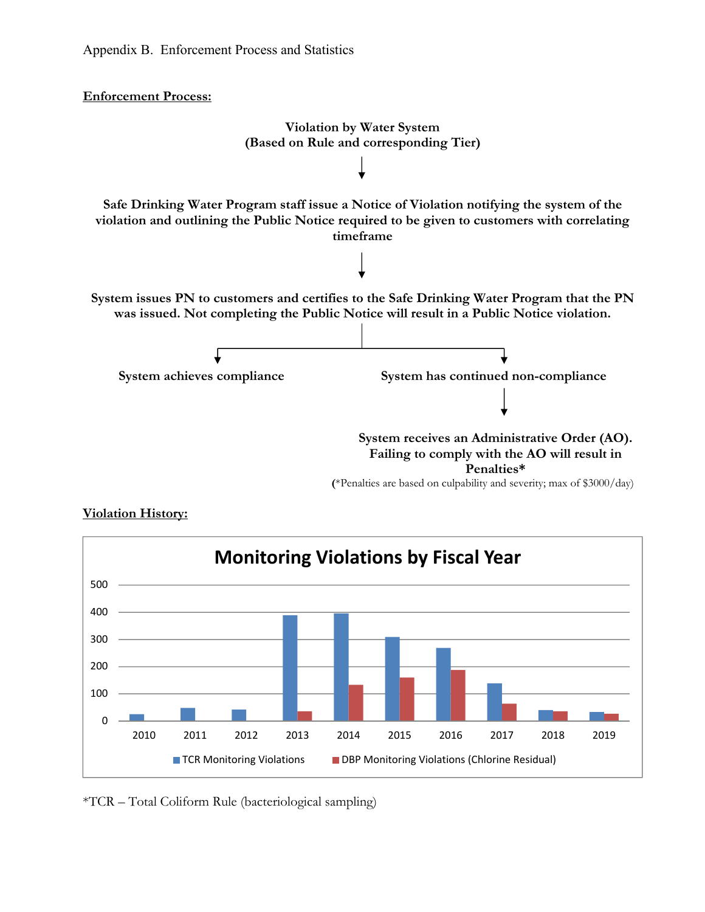**Enforcement Process:** 





## **Violation History:**

\*TCR – Total Coliform Rule (bacteriological sampling)